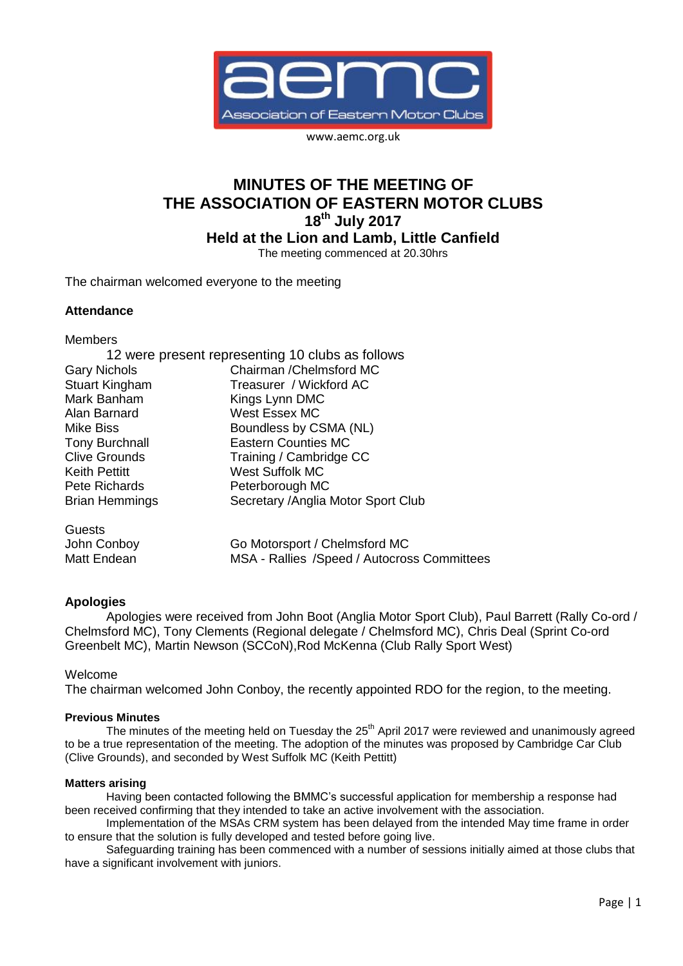

www.aemc.org.uk

# **MINUTES OF THE MEETING OF THE ASSOCIATION OF EASTERN MOTOR CLUBS 18th July 2017**

**Held at the Lion and Lamb, Little Canfield**

The meeting commenced at 20.30hrs

The chairman welcomed everyone to the meeting

# **Attendance**

Members

| 12 were present representing 10 clubs as follows |                                             |
|--------------------------------------------------|---------------------------------------------|
| <b>Gary Nichols</b>                              | Chairman / Chelmsford MC                    |
| <b>Stuart Kingham</b>                            | Treasurer / Wickford AC                     |
| Mark Banham                                      | Kings Lynn DMC                              |
| Alan Barnard                                     | West Essex MC                               |
| Mike Biss                                        | Boundless by CSMA (NL)                      |
| <b>Tony Burchnall</b>                            | <b>Eastern Counties MC</b>                  |
| <b>Clive Grounds</b>                             | Training / Cambridge CC                     |
| <b>Keith Pettitt</b>                             | <b>West Suffolk MC</b>                      |
| Pete Richards                                    | Peterborough MC                             |
| <b>Brian Hemmings</b>                            | Secretary / Anglia Motor Sport Club         |
| Guests                                           |                                             |
| John Conboy                                      | Go Motorsport / Chelmsford MC               |
| Matt Endean                                      | MSA - Rallies /Speed / Autocross Committees |

# **Apologies**

Apologies were received from John Boot (Anglia Motor Sport Club), Paul Barrett (Rally Co-ord / Chelmsford MC), Tony Clements (Regional delegate / Chelmsford MC), Chris Deal (Sprint Co-ord Greenbelt MC), Martin Newson (SCCoN),Rod McKenna (Club Rally Sport West)

Welcome

The chairman welcomed John Conboy, the recently appointed RDO for the region, to the meeting.

# **Previous Minutes**

The minutes of the meeting held on Tuesday the 25<sup>th</sup> April 2017 were reviewed and unanimously agreed to be a true representation of the meeting. The adoption of the minutes was proposed by Cambridge Car Club (Clive Grounds), and seconded by West Suffolk MC (Keith Pettitt)

# **Matters arising**

Having been contacted following the BMMC's successful application for membership a response had been received confirming that they intended to take an active involvement with the association.

Implementation of the MSAs CRM system has been delayed from the intended May time frame in order to ensure that the solution is fully developed and tested before going live.

Safeguarding training has been commenced with a number of sessions initially aimed at those clubs that have a significant involvement with juniors.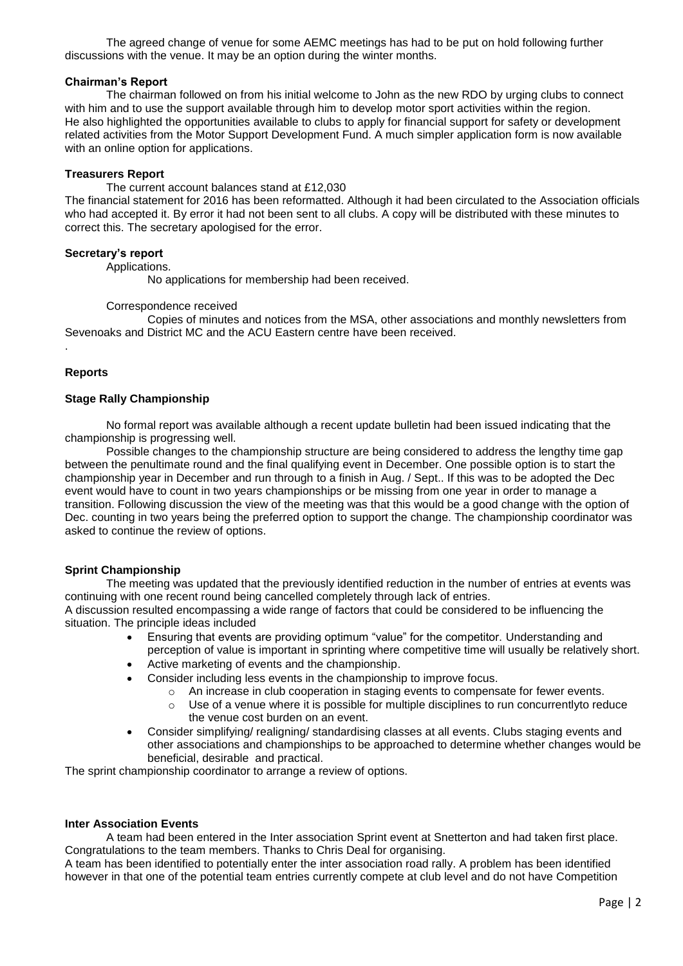The agreed change of venue for some AEMC meetings has had to be put on hold following further discussions with the venue. It may be an option during the winter months.

## **Chairman's Report**

The chairman followed on from his initial welcome to John as the new RDO by urging clubs to connect with him and to use the support available through him to develop motor sport activities within the region. He also highlighted the opportunities available to clubs to apply for financial support for safety or development related activities from the Motor Support Development Fund. A much simpler application form is now available with an online option for applications.

#### **Treasurers Report**

The current account balances stand at £12,030

The financial statement for 2016 has been reformatted. Although it had been circulated to the Association officials who had accepted it. By error it had not been sent to all clubs. A copy will be distributed with these minutes to correct this. The secretary apologised for the error.

#### **Secretary's report**

Applications.

No applications for membership had been received.

#### Correspondence received

Copies of minutes and notices from the MSA, other associations and monthly newsletters from Sevenoaks and District MC and the ACU Eastern centre have been received.

#### **Reports**

.

#### **Stage Rally Championship**

No formal report was available although a recent update bulletin had been issued indicating that the championship is progressing well.

Possible changes to the championship structure are being considered to address the lengthy time gap between the penultimate round and the final qualifying event in December. One possible option is to start the championship year in December and run through to a finish in Aug. / Sept.. If this was to be adopted the Dec event would have to count in two years championships or be missing from one year in order to manage a transition. Following discussion the view of the meeting was that this would be a good change with the option of Dec. counting in two years being the preferred option to support the change. The championship coordinator was asked to continue the review of options.

#### **Sprint Championship**

The meeting was updated that the previously identified reduction in the number of entries at events was continuing with one recent round being cancelled completely through lack of entries.

A discussion resulted encompassing a wide range of factors that could be considered to be influencing the situation. The principle ideas included

- Ensuring that events are providing optimum "value" for the competitor. Understanding and perception of value is important in sprinting where competitive time will usually be relatively short.
- Active marketing of events and the championship.
	- Consider including less events in the championship to improve focus.
		- o An increase in club cooperation in staging events to compensate for fewer events.
		- $\circ$  Use of a venue where it is possible for multiple disciplines to run concurrentlyto reduce the venue cost burden on an event.
- Consider simplifying/ realigning/ standardising classes at all events. Clubs staging events and other associations and championships to be approached to determine whether changes would be beneficial, desirable and practical.

The sprint championship coordinator to arrange a review of options.

#### **Inter Association Events**

A team had been entered in the Inter association Sprint event at Snetterton and had taken first place. Congratulations to the team members. Thanks to Chris Deal for organising.

A team has been identified to potentially enter the inter association road rally. A problem has been identified however in that one of the potential team entries currently compete at club level and do not have Competition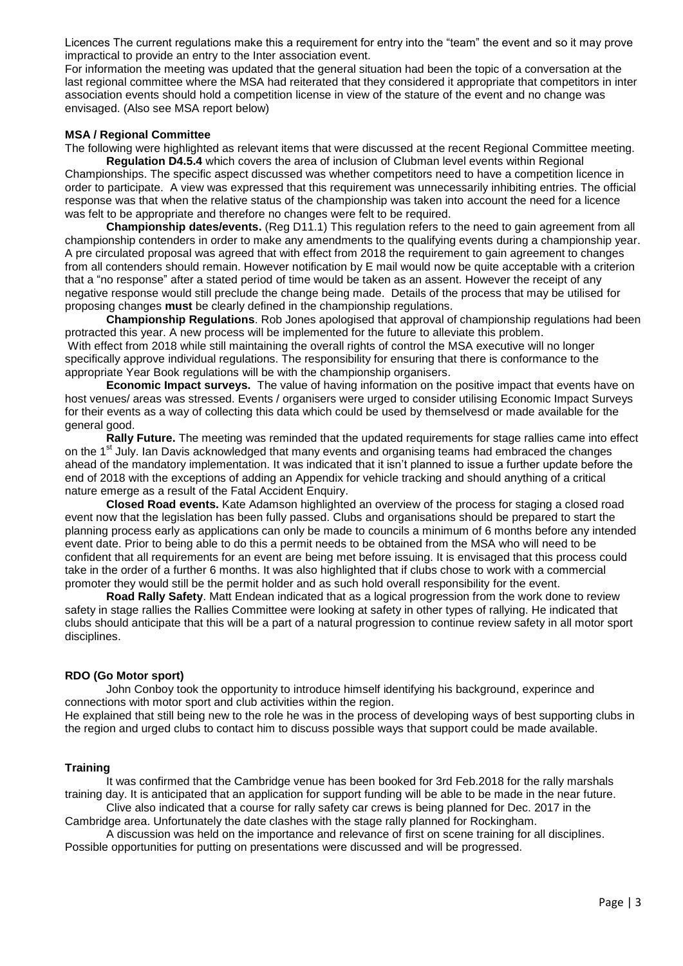Licences The current regulations make this a requirement for entry into the "team" the event and so it may prove impractical to provide an entry to the Inter association event.

For information the meeting was updated that the general situation had been the topic of a conversation at the last regional committee where the MSA had reiterated that they considered it appropriate that competitors in inter association events should hold a competition license in view of the stature of the event and no change was envisaged. (Also see MSA report below)

## **MSA / Regional Committee**

The following were highlighted as relevant items that were discussed at the recent Regional Committee meeting.

**Regulation D4.5.4** which covers the area of inclusion of Clubman level events within Regional Championships. The specific aspect discussed was whether competitors need to have a competition licence in order to participate. A view was expressed that this requirement was unnecessarily inhibiting entries. The official response was that when the relative status of the championship was taken into account the need for a licence was felt to be appropriate and therefore no changes were felt to be required.

**Championship dates/events.** (Reg D11.1) This regulation refers to the need to gain agreement from all championship contenders in order to make any amendments to the qualifying events during a championship year. A pre circulated proposal was agreed that with effect from 2018 the requirement to gain agreement to changes from all contenders should remain. However notification by E mail would now be quite acceptable with a criterion that a "no response" after a stated period of time would be taken as an assent. However the receipt of any negative response would still preclude the change being made. Details of the process that may be utilised for proposing changes **must** be clearly defined in the championship regulations.

**Championship Regulations**. Rob Jones apologised that approval of championship regulations had been protracted this year. A new process will be implemented for the future to alleviate this problem. With effect from 2018 while still maintaining the overall rights of control the MSA executive will no longer specifically approve individual regulations. The responsibility for ensuring that there is conformance to the appropriate Year Book regulations will be with the championship organisers.

**Economic Impact surveys.** The value of having information on the positive impact that events have on host venues/ areas was stressed. Events / organisers were urged to consider utilising Economic Impact Surveys for their events as a way of collecting this data which could be used by themselvesd or made available for the general good.

**Rally Future.** The meeting was reminded that the updated requirements for stage rallies came into effect on the 1<sup>st</sup> July. Ian Davis acknowledged that many events and organising teams had embraced the changes ahead of the mandatory implementation. It was indicated that it isn't planned to issue a further update before the end of 2018 with the exceptions of adding an Appendix for vehicle tracking and should anything of a critical nature emerge as a result of the Fatal Accident Enquiry.

**Closed Road events.** Kate Adamson highlighted an overview of the process for staging a closed road event now that the legislation has been fully passed. Clubs and organisations should be prepared to start the planning process early as applications can only be made to councils a minimum of 6 months before any intended event date. Prior to being able to do this a permit needs to be obtained from the MSA who will need to be confident that all requirements for an event are being met before issuing. It is envisaged that this process could take in the order of a further 6 months. It was also highlighted that if clubs chose to work with a commercial promoter they would still be the permit holder and as such hold overall responsibility for the event.

**Road Rally Safety**. Matt Endean indicated that as a logical progression from the work done to review safety in stage rallies the Rallies Committee were looking at safety in other types of rallying. He indicated that clubs should anticipate that this will be a part of a natural progression to continue review safety in all motor sport disciplines.

#### **RDO (Go Motor sport)**

John Conboy took the opportunity to introduce himself identifying his background, experince and connections with motor sport and club activities within the region.

He explained that still being new to the role he was in the process of developing ways of best supporting clubs in the region and urged clubs to contact him to discuss possible ways that support could be made available.

# **Training**

It was confirmed that the Cambridge venue has been booked for 3rd Feb.2018 for the rally marshals training day. It is anticipated that an application for support funding will be able to be made in the near future.

Clive also indicated that a course for rally safety car crews is being planned for Dec. 2017 in the Cambridge area. Unfortunately the date clashes with the stage rally planned for Rockingham.

A discussion was held on the importance and relevance of first on scene training for all disciplines. Possible opportunities for putting on presentations were discussed and will be progressed.